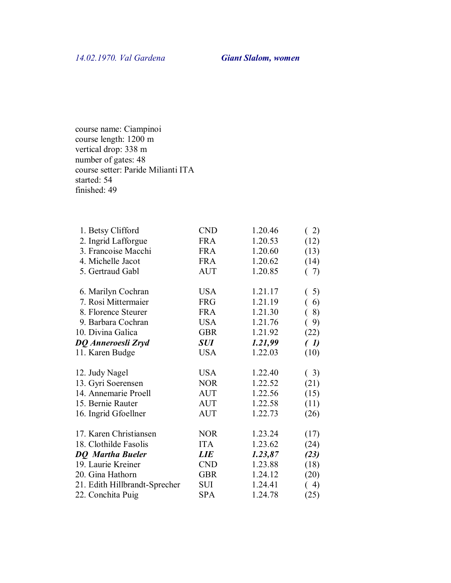course name: Ciampinoi course length: 1200 m vertical drop: 338 m number of gates: 48 course setter: Paride Milianti ITA started: 54 finished: 49

| 1. Betsy Clifford             | <b>CND</b> | 1.20.46 | (2)  |
|-------------------------------|------------|---------|------|
| 2. Ingrid Lafforgue           | <b>FRA</b> | 1.20.53 | (12) |
| 3. Francoise Macchi           | <b>FRA</b> | 1.20.60 | (13) |
| 4. Michelle Jacot             | <b>FRA</b> | 1.20.62 | (14) |
| 5. Gertraud Gabl              | <b>AUT</b> | 1.20.85 | (7)  |
| 6. Marilyn Cochran            | <b>USA</b> | 1.21.17 | 5)   |
| 7. Rosi Mittermaier           | <b>FRG</b> | 1.21.19 | 6)   |
| 8. Florence Steurer           | <b>FRA</b> | 1.21.30 | 8)   |
| 9. Barbara Cochran            | <b>USA</b> | 1.21.76 | 9)   |
| 10. Divina Galica             | <b>GBR</b> | 1.21.92 | (22) |
| DQ Anneroesli Zryd            | SUI        | 1.21,99 | (1)  |
| 11. Karen Budge               | <b>USA</b> | 1.22.03 | (10) |
| 12. Judy Nagel                | <b>USA</b> | 1.22.40 | (3)  |
| 13. Gyri Soerensen            | <b>NOR</b> | 1.22.52 | (21) |
| 14. Annemarie Proell          | <b>AUT</b> | 1.22.56 | (15) |
| 15. Bernie Rauter             | <b>AUT</b> | 1.22.58 | (11) |
| 16. Ingrid Gfoellner          | <b>AUT</b> | 1.22.73 | (26) |
| 17. Karen Christiansen        | <b>NOR</b> | 1.23.24 | (17) |
| 18. Clothilde Fasolis         | <b>ITA</b> | 1.23.62 | (24) |
| <b>DQ</b> Martha Bueler       | <b>LIE</b> | 1.23,87 | (23) |
| 19. Laurie Kreiner            | <b>CND</b> | 1.23.88 | (18) |
| 20. Gina Hathorn              | <b>GBR</b> | 1.24.12 | (20) |
| 21. Edith Hillbrandt-Sprecher | SUI        | 1.24.41 | (4)  |
| 22. Conchita Puig             | <b>SPA</b> | 1.24.78 | (25) |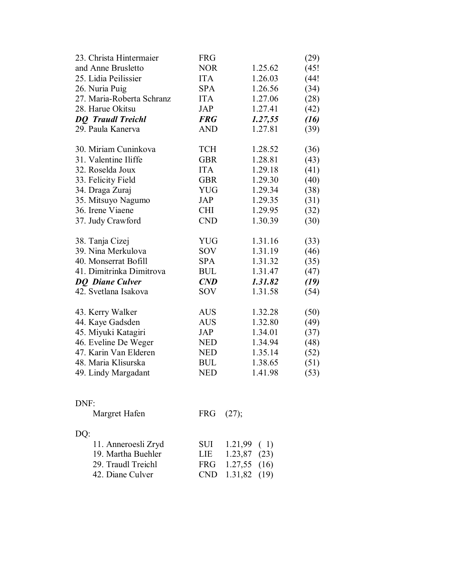| 23. Christa Hintermaier   | <b>FRG</b> |         | (29) |
|---------------------------|------------|---------|------|
| and Anne Brusletto        | <b>NOR</b> | 1.25.62 | (45! |
| 25. Lidia Peilissier      | <b>ITA</b> | 1.26.03 | (44! |
| 26. Nuria Puig            | <b>SPA</b> | 1.26.56 | (34) |
| 27. Maria-Roberta Schranz | <b>ITA</b> | 1.27.06 | (28) |
| 28. Harue Okitsu          | JAP        | 1.27.41 | (42) |
| <b>DQ</b> Traudl Treichl  | <b>FRG</b> | 1.27,55 | (16) |
| 29. Paula Kanerva         | <b>AND</b> | 1.27.81 | (39) |
| 30. Miriam Cuninkova      | <b>TCH</b> | 1.28.52 | (36) |
| 31. Valentine Iliffe      | <b>GBR</b> | 1.28.81 | (43) |
| 32. Roselda Joux          | <b>ITA</b> | 1.29.18 | (41) |
| 33. Felicity Field        | <b>GBR</b> | 1.29.30 | (40) |
| 34. Draga Zuraj           | <b>YUG</b> | 1.29.34 | (38) |
| 35. Mitsuyo Nagumo        | <b>JAP</b> | 1.29.35 | (31) |
| 36. Irene Viaene          | <b>CHI</b> | 1.29.95 | (32) |
| 37. Judy Crawford         | <b>CND</b> | 1.30.39 | (30) |
| 38. Tanja Cizej           | <b>YUG</b> | 1.31.16 | (33) |
| 39. Nina Merkulova        | SOV        | 1.31.19 | (46) |
| 40. Monserrat Bofill      | <b>SPA</b> | 1.31.32 | (35) |
| 41. Dimitrinka Dimitrova  | <b>BUL</b> | 1.31.47 | (47) |
| <b>DO</b> Diane Culver    | CND        | 1.31.82 | (19) |
| 42. Svetlana Isakova      | <b>SOV</b> | 1.31.58 | (54) |
| 43. Kerry Walker          | <b>AUS</b> | 1.32.28 | (50) |
| 44. Kaye Gadsden          | <b>AUS</b> | 1.32.80 | (49) |
| 45. Miyuki Katagiri       | JAP        | 1.34.01 | (37) |
| 46. Eveline De Weger      | <b>NED</b> | 1.34.94 | (48) |
| 47. Karin Van Elderen     | <b>NED</b> | 1.35.14 | (52) |
| 48. Maria Klisurska       | <b>BUL</b> | 1.38.65 | (51) |
| 49. Lindy Margadant       | <b>NED</b> | 1.41.98 | (53) |
|                           |            |         |      |
| DNF:                      |            |         |      |

|  | SUI $1.21,99$ (1)<br>LIE $1.23,87$ (23)<br>FRG 1.27,55 (16)<br>CND 1.31,82 (19) |
|--|---------------------------------------------------------------------------------|

Margret Hafen FRG (27);